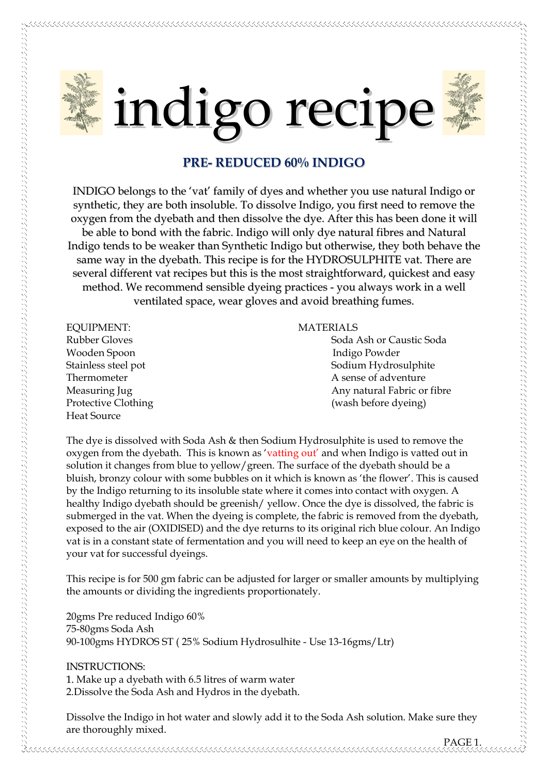

## **PRE- REDUCED 60% INDIGO**

INDIGO belongs to the 'vat' family of dyes and whether you use natural Indigo or synthetic, they are both insoluble. To dissolve Indigo, you first need to remove the oxygen from the dyebath and then dissolve the dye. After this has been done it will be able to bond with the fabric. Indigo will only dye natural fibres and Natural Indigo tends to be weaker than Synthetic Indigo but otherwise, they both behave the same way in the dyebath. This recipe is for the HYDROSULPHITE vat. There are several different vat recipes but this is the most straightforward, quickest and easy method. We recommend sensible dyeing practices - you always work in a well ventilated space, wear gloves and avoid breathing fumes.

EQUIPMENT: MATERIALS Wooden Spoon Indigo Powder Heat Source

Rubber Gloves **Sola Ash or Caustic Soda** Ash or Caustic Soda Stainless steel pot Sodium Hydrosulphite Thermometer **A** sense of adventure Measuring Jug **Any natural Fabric or fibre** Any natural Fabric or fibre Protective Clothing The Context of the Clothing (wash before dyeing)

The dye is dissolved with Soda Ash & then Sodium Hydrosulphite is used to remove the oxygen from the dyebath. This is known as 'vatting out' and when Indigo is vatted out in solution it changes from blue to yellow/green. The surface of the dyebath should be a bluish, bronzy colour with some bubbles on it which is known as 'the flower'. This is caused by the Indigo returning to its insoluble state where it comes into contact with oxygen. A healthy Indigo dyebath should be greenish/ yellow. Once the dye is dissolved, the fabric is submerged in the vat. When the dyeing is complete, the fabric is removed from the dyebath, exposed to the air (OXIDISED) and the dye returns to its original rich blue colour. An Indigo vat is in a constant state of fermentation and you will need to keep an eye on the health of your vat for successful dyeings.

This recipe is for 500 gm fabric can be adjusted for larger or smaller amounts by multiplying the amounts or dividing the ingredients proportionately.

20gms Pre reduced Indigo 60% 75-80gms Soda Ash 90-100gms HYDROS ST ( 25% Sodium Hydrosulhite - Use 13-16gms/Ltr)

## INSTRUCTIONS:

1. Make up a dyebath with 6.5 litres of warm water 2.Dissolve the Soda Ash and Hydros in the dyebath.

Dissolve the Indigo in hot water and slowly add it to the Soda Ash solution. Make sure they are thoroughly mixed.

PAGE 1.